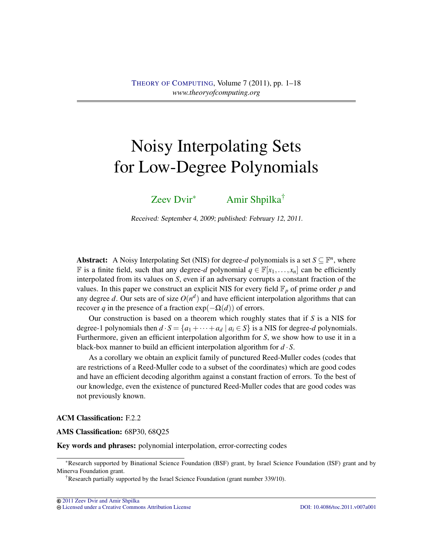# Noisy Interpolating Sets for Low-Degree Polynomials

[Zeev Dvir](#page-16-0)<sup>∗</sup> [Amir Shpilka](#page-16-1)†

Received: September 4, 2009; published: February 12, 2011.

Abstract: A Noisy Interpolating Set (NIS) for degree-*d* polynomials is a set  $S \subseteq \mathbb{F}^n$ , where **F** is a finite field, such that any degree-*d* polynomial *q* ∈  $\mathbb{F}[x_1,...,x_n]$  can be efficiently interpolated from its values on *S*, even if an adversary corrupts a constant fraction of the values. In this paper we construct an explicit NIS for every field  $\mathbb{F}_p$  of prime order  $p$  and any degree *d*. Our sets are of size  $O(n^d)$  and have efficient interpolation algorithms that can recover *q* in the presence of a fraction  $exp(-\Omega(d))$  of errors.

Our construction is based on a theorem which roughly states that if *S* is a NIS for degree-1 polynomials then  $d \cdot S = \{a_1 + \cdots + a_d \mid a_i \in S\}$  is a NIS for degree-*d* polynomials. Furthermore, given an efficient interpolation algorithm for *S*, we show how to use it in a black-box manner to build an efficient interpolation algorithm for  $d \cdot S$ .

As a corollary we obtain an explicit family of punctured Reed-Muller codes (codes that are restrictions of a Reed-Muller code to a subset of the coordinates) which are good codes and have an efficient decoding algorithm against a constant fraction of errors. To the best of our knowledge, even the existence of punctured Reed-Muller codes that are good codes was not previously known.

ACM Classification: F.2.2

AMS Classification: 68P30, 68Q25

Key words and phrases: polynomial interpolation, error-correcting codes

[Licensed under a Creative Commons Attribution License](http://creativecommons.org/licenses/by/3.0/) [DOI: 10.4086/toc.2011.v007a001](http://dx.doi.org/10.4086/toc.2011.v007a001)

<sup>∗</sup>Research supported by Binational Science Foundation (BSF) grant, by Israel Science Foundation (ISF) grant and by Minerva Foundation grant.

<sup>†</sup>Research partially supported by the Israel Science Foundation (grant number 339/10).

[<sup>2011</sup> Zeev Dvir and Amir Shpilka](http://theoryofcomputing.org/copyright2009.html)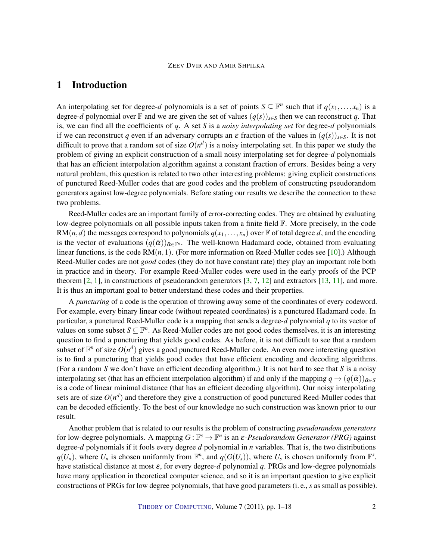# <span id="page-1-0"></span>1 Introduction

An interpolating set for degree-*d* polynomials is a set of points  $S \subseteq \mathbb{F}^n$  such that if  $q(x_1,...,x_n)$  is a degree-*d* polynomial over F and we are given the set of values  $(q(s))_{s \in S}$  then we can reconstruct q. That is, we can find all the coefficients of *q*. A set *S* is a *noisy interpolating set* for degree-*d* polynomials if we can reconstruct *q* even if an adversary corrupts an  $\varepsilon$  fraction of the values in  $(q(s))_{s\in S}$ . It is not difficult to prove that a random set of size  $O(n^d)$  is a noisy interpolating set. In this paper we study the problem of giving an explicit construction of a small noisy interpolating set for degree-*d* polynomials that has an efficient interpolation algorithm against a constant fraction of errors. Besides being a very natural problem, this question is related to two other interesting problems: giving explicit constructions of punctured Reed-Muller codes that are good codes and the problem of constructing pseudorandom generators against low-degree polynomials. Before stating our results we describe the connection to these two problems.

Reed-Muller codes are an important family of error-correcting codes. They are obtained by evaluating low-degree polynomials on all possible inputs taken from a finite field F. More precisely, in the code RM(*n*,*d*) the messages correspond to polynomials  $q(x_1,...,x_n)$  over F of total degree *d*, and the encoding is the vector of evaluations  $(q(\bar{\alpha}))_{\bar{\alpha}\in\mathbb{F}^n}$ . The well-known Hadamard code, obtained from evaluating linear functions, is the code  $RM(n,1)$ . (For more information on Reed-Muller codes see [\[10\]](#page-16-2).) Although Reed-Muller codes are not *good* codes (they do not have constant rate) they play an important role both in practice and in theory. For example Reed-Muller codes were used in the early proofs of the PCP theorem  $[2, 1]$  $[2, 1]$  $[2, 1]$ , in constructions of pseudorandom generators  $[3, 7, 12]$  $[3, 7, 12]$  $[3, 7, 12]$  $[3, 7, 12]$  $[3, 7, 12]$  and extractors  $[13, 11]$  $[13, 11]$  $[13, 11]$ , and more. It is thus an important goal to better understand these codes and their properties.

A *puncturing* of a code is the operation of throwing away some of the coordinates of every codeword. For example, every binary linear code (without repeated coordinates) is a punctured Hadamard code. In particular, a punctured Reed-Muller code is a mapping that sends a degree-*d* polynomial *q* to its vector of values on some subset  $S \subseteq \mathbb{F}^n$ . As Reed-Muller codes are not good codes themselves, it is an interesting question to find a puncturing that yields good codes. As before, it is not difficult to see that a random subset of  $\mathbb{F}^n$  of size  $O(n^d)$  gives a good punctured Reed-Muller code. An even more interesting question is to find a puncturing that yields good codes that have efficient encoding and decoding algorithms. (For a random *S* we don't have an efficient decoding algorithm.) It is not hard to see that *S* is a noisy interpolating set (that has an efficient interpolation algorithm) if and only if the mapping  $q \rightarrow (q(\bar{\alpha}))_{\bar{\alpha} \in S}$ is a code of linear minimal distance (that has an efficient decoding algorithm). Our noisy interpolating sets are of size  $O(n^d)$  and therefore they give a construction of good punctured Reed-Muller codes that can be decoded efficiently. To the best of our knowledge no such construction was known prior to our result.

Another problem that is related to our results is the problem of constructing *pseudorandom generators* for low-degree polynomials. A mapping  $G : \mathbb{F}^s \to \mathbb{F}^n$  is an  $\varepsilon$ -*Pseudorandom Generator (PRG)* against degree-*d* polynomials if it fools every degree *d* polynomial in *n* variables. That is, the two distributions  $q(U_n)$ , where  $U_n$  is chosen uniformly from  $\mathbb{F}^n$ , and  $q(G(U_s))$ , where  $U_s$  is chosen uniformly from  $\mathbb{F}^s$ , have statistical distance at most ε, for every degree-*d* polynomial *q*. PRGs and low-degree polynomials have many application in theoretical computer science, and so it is an important question to give explicit constructions of PRGs for low degree polynomials, that have good parameters (i. e., *s* as small as possible).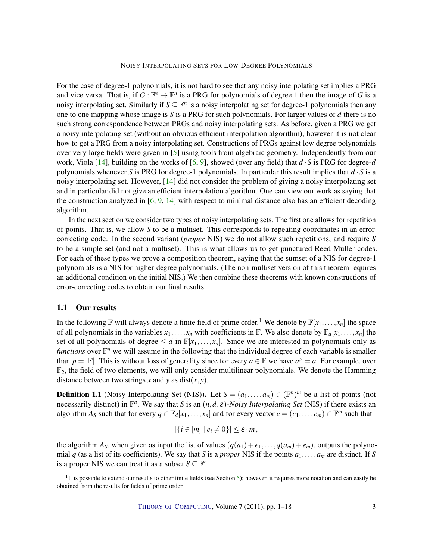NOISY INTERPOLATING SETS FOR LOW-DEGREE POLYNOMIALS

<span id="page-2-1"></span>For the case of degree-1 polynomials, it is not hard to see that any noisy interpolating set implies a PRG and vice versa. That is, if  $G : \mathbb{F}^s \to \mathbb{F}^n$  is a PRG for polynomials of degree 1 then the image of *G* is a noisy interpolating set. Similarly if  $S \subseteq \mathbb{F}^n$  is a noisy interpolating set for degree-1 polynomials then any one to one mapping whose image is *S* is a PRG for such polynomials. For larger values of *d* there is no such strong correspondence between PRGs and noisy interpolating sets. As before, given a PRG we get a noisy interpolating set (without an obvious efficient interpolation algorithm), however it is not clear how to get a PRG from a noisy interpolating set. Constructions of PRGs against low degree polynomials over very large fields were given in [\[5\]](#page-16-7) using tools from algebraic geometry. Independently from our work, Viola [\[14\]](#page-16-8), building on the works of [\[6,](#page-16-9) [9\]](#page-16-10), showed (over any field) that *d* · *S* is PRG for degree-*d* polynomials whenever *S* is PRG for degree-1 polynomials. In particular this result implies that  $d \cdot S$  is a noisy interpolating set. However, [\[14\]](#page-16-8) did not consider the problem of giving a noisy interpolating set and in particular did not give an efficient interpolation algorithm. One can view our work as saying that the construction analyzed in [\[6,](#page-16-9) [9,](#page-16-10) [14\]](#page-16-8) with respect to minimal distance also has an efficient decoding algorithm.

In the next section we consider two types of noisy interpolating sets. The first one allows for repetition of points. That is, we allow *S* to be a multiset. This corresponds to repeating coordinates in an errorcorrecting code. In the second variant (*proper* NIS) we do not allow such repetitions, and require *S* to be a simple set (and not a multiset). This is what allows us to get punctured Reed-Muller codes. For each of these types we prove a composition theorem, saying that the sumset of a NIS for degree-1 polynomials is a NIS for higher-degree polynomials. (The non-multiset version of this theorem requires an additional condition on the initial NIS.) We then combine these theorems with known constructions of error-correcting codes to obtain our final results.

## 1.1 Our results

In the following  $\mathbb{F}$  will always denote a finite field of prime order.<sup>1</sup> We denote by  $\mathbb{F}[x_1,\ldots,x_n]$  the space of all polynomials in the variables  $x_1, \ldots, x_n$  with coefficients in  $\mathbb{F}$ . We also denote by  $\mathbb{F}_d[x_1, \ldots, x_n]$  the set of all polynomials of degree  $\leq d$  in  $\mathbb{F}[x_1,\ldots,x_n]$ . Since we are interested in polynomials only as *functions* over  $\mathbb{F}^n$  we will assume in the following that the individual degree of each variable is smaller than  $p = |\mathbb{F}|$ . This is without loss of generality since for every  $a \in \mathbb{F}$  we have  $a^p = a$ . For example, over  $\mathbb{F}_2$ , the field of two elements, we will only consider multilinear polynomials. We denote the Hamming distance between two strings *x* and *y* as dist $(x, y)$ .

<span id="page-2-0"></span>**Definition 1.1** (Noisy Interpolating Set (NIS)). Let  $S = (a_1, \ldots, a_m) \in (\mathbb{F}^n)^m$  be a list of points (not necessarily distinct) in  $\mathbb{F}^n$ . We say that *S* is an  $(n, d, \varepsilon)$ -*Noisy Interpolating Set* (NIS) if there exists an algorithm  $A_S$  such that for every  $q \in \mathbb{F}_d[x_1,\ldots,x_n]$  and for every vector  $e = (e_1,\ldots,e_m) \in \mathbb{F}^m$  such that

$$
|\{i\in[m]\mid e_i\neq 0\}|\leq \varepsilon\cdot m\,,
$$

the algorithm  $A_S$ , when given as input the list of values  $(q(a_1) + e_1, \ldots, q(a_m) + e_m)$ , outputs the polynomial *q* (as a list of its coefficients). We say that *S* is a *proper* NIS if the points  $a_1, \ldots, a_m$  are distinct. If *S* is a proper NIS we can treat it as a subset  $S \subseteq \mathbb{F}^n$ .

 ${}^{1}$ It is possible to extend our results to other finite fields (see Section [5\)](#page-13-0); however, it requires more notation and can easily be obtained from the results for fields of prime order.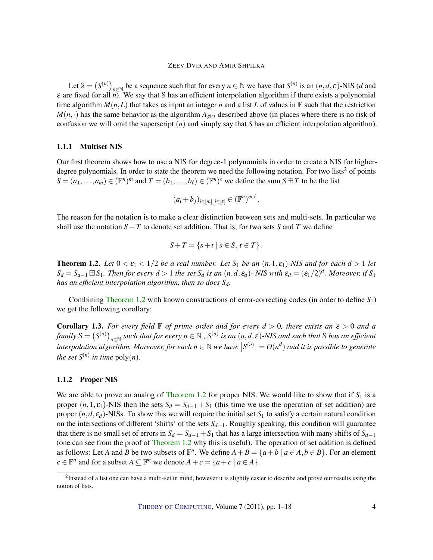Let  $S = (S^{(n)})_{n \in \mathbb{N}}$  be a sequence such that for every  $n \in \mathbb{N}$  we have that  $S^{(n)}$  is an  $(n, d, \varepsilon)$ -NIS (*d* and ε are fixed for all *n*). We say that S has an efficient interpolation algorithm if there exists a polynomial time algorithm  $M(n,L)$  that takes as input an integer *n* and a list *L* of values in  $\mathbb F$  such that the restriction  $M(n, \cdot)$  has the same behavior as the algorithm  $A_{S(n)}$  described above (in places where there is no risk of confusion we will omit the superscript (*n*) and simply say that *S* has an efficient interpolation algorithm).

#### 1.1.1 Multiset NIS

Our first theorem shows how to use a NIS for degree-1 polynomials in order to create a NIS for higherdegree polynomials. In order to state the theorem we need the following notation. For two lists<sup>2</sup> of points  $S = (a_1, \ldots, a_m) \in (\mathbb{F}^n)^m$  and  $T = (b_1, \ldots, b_\ell) \in (\mathbb{F}^n)^\ell$  we define the sum  $S \boxplus T$  to be the list

$$
(a_i+b_j)_{i\in[m],j\in[\ell]}\in(\mathbb{F}^n)^{m\cdot\ell}.
$$

The reason for the notation is to make a clear distinction between sets and multi-sets. In particular we shall use the notation  $S+T$  to denote set addition. That is, for two sets *S* and *T* we define

$$
S+T = \{s+t \mid s \in S, t \in T\}.
$$

<span id="page-3-0"></span>**Theorem 1.2.** Let  $0 < \varepsilon_1 < 1/2$  be a real number. Let  $S_1$  be an  $(n,1,\varepsilon_1)$ -NIS and for each  $d > 1$  let  $S_d = S_{d-1} \boxplus S_1$ . Then for every  $d > 1$  the set  $S_d$  is an  $(n, d, \varepsilon_d)$ - NIS with  $\varepsilon_d = (\varepsilon_1/2)^d$ . Moreover, if  $S_1$ *has an efficient interpolation algorithm, then so does Sd.*

Combining [Theorem](#page-3-0) [1.2](#page-3-0) with known constructions of error-correcting codes (in order to define *S*1) we get the following corollary:

<span id="page-3-1"></span>**Corollary 1.3.** *For every field*  $\mathbb F$  *of prime order and for every*  $d > 0$ *, there exists an*  $\varepsilon > 0$  *and a*  $f$ amily  $\mathcal{S} = \big(S^{(n)}\big)_{n\in\mathbb{N}}$  such that for every  $n\in\mathbb{N}$  ,  $S^{(n)}$  is an  $(n,d,\epsilon)$ -NIS,and such that  $\mathcal S$  has an efficient  $S^{(n)}$  and it is possible to generate  $S^{(n)}$  and  $S^{(n)}$  and  $S^{(n)}$  and  $S^{(n)}$  and  $S^{(n)}$  and  $S^{(n)}$  and  $S^{(n)}$  and  $S^{(n)}$  and  $S^{(n)}$  and  $S^{(n)}$  and  $S^{(n)}$  and  $S^{(n)}$  and  $S^{(n)}$  and  $S^{(n)}$  and  $S^{(n)}$  and  $S$ *the set*  $S^{(n)}$  *in time*  $poly(n)$ *.* 

#### 1.1.2 Proper NIS

We are able to prove an analog of [Theorem](#page-3-0) [1.2](#page-3-0) for proper NIS. We would like to show that if  $S_1$  is a proper  $(n,1,\varepsilon_1)$ -NIS then the sets  $S_d = S_{d-1} + S_1$  (this time we use the operation of set addition) are proper  $(n, d, \varepsilon_d)$ -NISs. To show this we will require the initial set  $S_1$  to satisfy a certain natural condition on the intersections of different 'shifts' of the sets *Sd*−1. Roughly speaking, this condition will guarantee that there is no small set of errors in  $S_d = S_{d-1} + S_1$  that has a large intersection with many shifts of  $S_{d-1}$ (one can see from the proof of [Theorem](#page-3-0) [1.2](#page-3-0) why this is useful). The operation of set addition is defined as follows: Let *A* and *B* be two subsets of  $\mathbb{F}^n$ . We define  $A + B = \{a + b \mid a \in A, b \in B\}$ . For an element  $c \in \mathbb{F}^n$  and for a subset  $A \subseteq \mathbb{F}^n$  we denote  $A + c = \{a + c \mid a \in A\}.$ 

 $2$ Instead of a list one can have a multi-set in mind, however it is slightly easier to describe and prove our results using the notion of lists.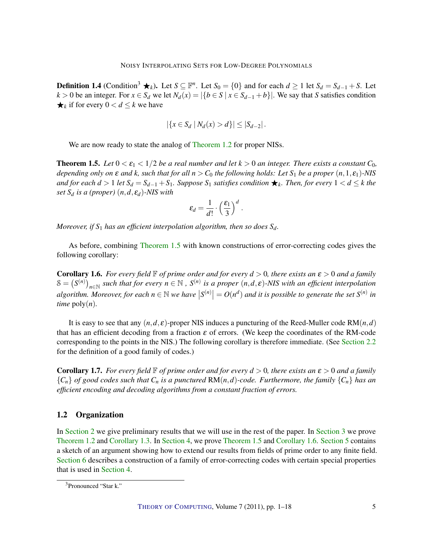<span id="page-4-2"></span>**Definition 1.4** (Condition<sup>3</sup> ★ $_k$ ). Let  $S \subseteq \mathbb{F}^n$ . Let  $S_0 = \{0\}$  and for each  $d \ge 1$  let  $S_d = S_{d-1} + S$ . Let *k* > 0 be an integer. For *x* ∈ *S<sub>d</sub>* we let  $N_d(x) = |\{b \in S | x \in S_{d-1} + b\}|$ . We say that *S* satisfies condition  $\bigstar_k$  if for every  $0 < d \leq k$  we have

$$
|\{x \in S_d | N_d(x) > d\}| \leq |S_{d-2}|.
$$

We are now ready to state the analog of [Theorem](#page-3-0) [1.2](#page-3-0) for proper NISs.

<span id="page-4-0"></span>**Theorem 1.5.** Let  $0 < \varepsilon_1 < 1/2$  be a real number and let  $k > 0$  an integer. There exists a constant  $C_0$ , *depending only on*  $\varepsilon$  *and*  $k$ , *such that for all*  $n > C_0$  *the following holds: Let*  $S_1$  *be a proper*  $(n, 1, \varepsilon_1)$ *-NIS and for each d* > 1 *let*  $S_d = S_{d-1} + S_1$ *. Suppose*  $S_1$  *satisfies condition* ★<sub>*k</sub>. Then, for every*  $1 < d \leq k$  *the*</sub> *set*  $S_d$  *is a (proper)*  $(n, d, \varepsilon_d)$ *-NIS with* 

$$
\varepsilon_d = \frac{1}{d!} \cdot \left(\frac{\varepsilon_1}{3}\right)^d.
$$

*Moreover, if S*<sup>1</sup> *has an efficient interpolation algorithm, then so does Sd.*

As before, combining [Theorem](#page-4-0) [1.5](#page-4-0) with known constructions of error-correcting codes gives the following corollary:

<span id="page-4-1"></span>**Corollary 1.6.** *For every field*  $\mathbb{F}$  *of prime order and for every*  $d > 0$ , *there exists an*  $\varepsilon > 0$  *and a family*  $S = (S^{(n)})_{n \in \mathbb{N}}$  such that for every  $n \in \mathbb{N}$  ,  $S^{(n)}$  is a proper  $(n, d, \varepsilon)$ -NIS with an efficient interpolation algorithm. Moreover, for each  $n \in \mathbb{N}$  we have  $|S^{(n)}| = O(n^d)$  and it is possible to generate the set  $S^{(n)}$  in *time*  $\text{poly}(n)$ .

It is easy to see that any  $(n,d,\varepsilon)$ -proper NIS induces a puncturing of the Reed-Muller code RM $(n,d)$ that has an efficient decoding from a fraction  $\varepsilon$  of errors. (We keep the coordinates of the RM-code corresponding to the points in the NIS.) The following corollary is therefore immediate. (See [Section](#page-6-0) [2.2](#page-6-0) for the definition of a good family of codes.)

<span id="page-4-3"></span>**Corollary 1.7.** *For every field*  $\mathbb{F}$  *of prime order and for every*  $d > 0$ *, there exists an*  $\varepsilon > 0$  *and a family*  ${C_n}$  *of good codes such that*  $C_n$  *is a punctured* RM(*n*,*d*)*-code. Furthermore, the family*  ${C_n}$  *has an efficient encoding and decoding algorithms from a constant fraction of errors.*

## 1.2 Organization

In [Section](#page-5-0) [2](#page-5-0) we give preliminary results that we will use in the rest of the paper. In [Section](#page-8-0) [3](#page-8-0) we prove [Theorem](#page-3-0) [1.2](#page-3-0) and [Corollary](#page-3-1) [1.3.](#page-3-1) In [Section](#page-11-0) [4,](#page-11-0) we prove [Theorem](#page-4-0) [1.5](#page-4-0) and [Corollary](#page-4-1) [1.6.](#page-4-1) [Section](#page-13-0) [5](#page-13-0) contains a sketch of an argument showing how to extend our results from fields of prime order to any finite field. [Section](#page-14-0) [6](#page-14-0) describes a construction of a family of error-correcting codes with certain special properties that is used in [Section](#page-11-0) [4.](#page-11-0)

<sup>3</sup>Pronounced "Star k."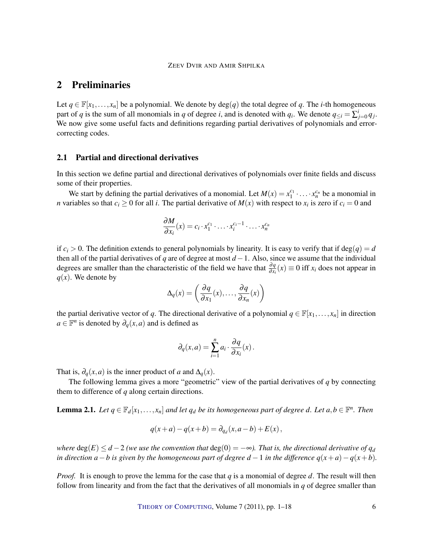# <span id="page-5-0"></span>2 Preliminaries

Let  $q \in \mathbb{F}[x_1,...,x_n]$  be a polynomial. We denote by  $deg(q)$  the total degree of q. The *i*-th homogeneous part of *q* is the sum of all monomials in *q* of degree *i*, and is denoted with  $q_i$ . We denote  $q_{\leq i} = \sum_{j=0}^{i} q_j$ . We now give some useful facts and definitions regarding partial derivatives of polynomials and errorcorrecting codes.

## 2.1 Partial and directional derivatives

In this section we define partial and directional derivatives of polynomials over finite fields and discuss some of their properties.

We start by defining the partial derivatives of a monomial. Let  $M(x) = x_1^{c_1} \cdot ... \cdot x_n^{c_n}$  be a monomial in *n* variables so that  $c_i \geq 0$  for all *i*. The partial derivative of  $M(x)$  with respect to  $x_i$  is zero if  $c_i = 0$  and

$$
\frac{\partial M}{\partial x_i}(x) = c_i \cdot x_1^{c_1} \cdot \ldots \cdot x_i^{c_i-1} \cdot \ldots \cdot x_n^{c_n}
$$

if  $c_i > 0$ . The definition extends to general polynomials by linearity. It is easy to verify that if deg(*q*) = *d* then all of the partial derivatives of *q* are of degree at most *d* −1. Also, since we assume that the individual degrees are smaller than the characteristic of the field we have that  $\frac{\partial q}{\partial x_i}(x) \equiv 0$  iff  $x_i$  does not appear in  $q(x)$ . We denote by

$$
\Delta_q(x) = \left(\frac{\partial q}{\partial x_1}(x), \dots, \frac{\partial q}{\partial x_n}(x)\right)
$$

the partial derivative vector of *q*. The directional derivative of a polynomial  $q \in \mathbb{F}[x_1,\ldots,x_n]$  in direction  $a \in \mathbb{F}^n$  is denoted by  $\partial_q(x, a)$  and is defined as

$$
\partial_q(x,a) = \sum_{i=1}^n a_i \cdot \frac{\partial q}{\partial x_i}(x).
$$

That is,  $\partial_q(x, a)$  is the inner product of *a* and  $\Delta_q(x)$ .

The following lemma gives a more "geometric" view of the partial derivatives of *q* by connecting them to difference of *q* along certain directions.

<span id="page-5-1"></span>**Lemma 2.1.** Let  $q \in \mathbb{F}_d[x_1,\ldots,x_n]$  and let  $q_d$  be its homogeneous part of degree d. Let  $a,b \in \mathbb{F}^n$ . Then

$$
q(x+a) - q(x+b) = \partial_{q_d}(x, a-b) + E(x),
$$

*where*  $deg(E) \leq d - 2$  *(we use the convention that*  $deg(0) = -\infty$ *). That is, the directional derivative of*  $q_d$ *in direction*  $a - b$  *is given by the homogeneous part of degree*  $d - 1$  *in the difference*  $q(x + a) - q(x + b)$ *.* 

*Proof.* It is enough to prove the lemma for the case that *q* is a monomial of degree *d*. The result will then follow from linearity and from the fact that the derivatives of all monomials in *q* of degree smaller than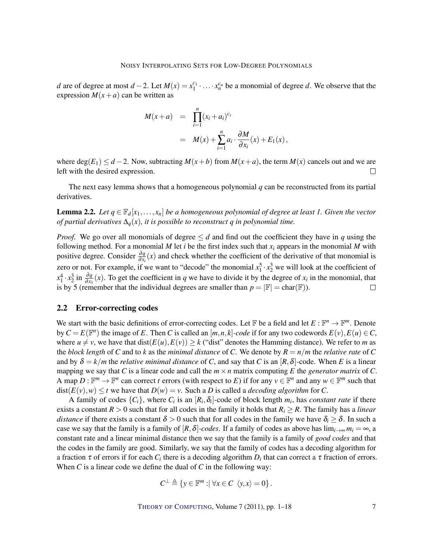*d* are of degree at most *d* − 2. Let  $M(x) = x_1^{c_1} \cdot ... \cdot x_n^{c_n}$  be a monomial of degree *d*. We observe that the expression  $M(x+a)$  can be written as

$$
M(x+a) = \prod_{i=1}^{n} (x_i + a_i)^{c_i}
$$
  
= 
$$
M(x) + \sum_{i=1}^{n} a_i \cdot \frac{\partial M}{\partial x_i}(x) + E_1(x),
$$

where  $deg(E_1) \leq d - 2$ . Now, subtracting  $M(x + b)$  from  $M(x + a)$ , the term  $M(x)$  cancels out and we are left with the desired expression.  $\Box$ 

The next easy lemma shows that a homogeneous polynomial *q* can be reconstructed from its partial derivatives.

<span id="page-6-1"></span>**Lemma 2.2.** *Let*  $q \in \mathbb{F}_d[x_1,\ldots,x_n]$  *be a homogeneous polynomial of degree at least 1. Given the vector of partial derivatives*  $\Delta_q(x)$ *, it is possible to reconstruct q in polynomial time.* 

*Proof.* We go over all monomials of degree  $\leq d$  and find out the coefficient they have in *q* using the following method. For a monomial  $M$  let  $i$  be the first index such that  $x_i$  appears in the monomial  $M$  with positive degree. Consider  $\frac{\partial q}{\partial x_i}(x)$  and check whether the coefficient of the derivative of that monomial is zero or not. For example, if we want to "decode" the monomial  $x_1^5 \cdot x_2^3$  we will look at the coefficient of  $x_1^4 \cdot x_2^3$  in  $\frac{\partial q}{\partial x_1}(x)$ . To get the coefficient in *q* we have to divide it by the degree of *x<sub>i</sub>* in the monomial, that is by 5 (remember that the individual degrees are smaller than  $p = |\mathbb{F}| = \text{char}(\mathbb{F})$ ).

#### <span id="page-6-0"></span>2.2 Error-correcting codes

We start with the basic definitions of error-correcting codes. Let  $\mathbb F$  be a field and let  $E: \mathbb F^n \to \mathbb F^m$ . Denote by  $C = E(\mathbb{F}^n)$  the image of *E*. Then *C* is called an  $[m, n, k]$ -code if for any two codewords  $E(v)$ ,  $E(u) \in C$ , where  $u \neq v$ , we have that dist( $E(u)$ ,  $E(v) \geq k$  ("dist" denotes the Hamming distance). We refer to *m* as the *block length* of *C* and to *k* as the *minimal distance* of *C*. We denote by  $R = n/m$  the *relative rate* of *C* and by  $\delta = k/m$  the *relative minimal distance* of *C*, and say that *C* is an  $[R, \delta]$ -code. When *E* is a linear mapping we say that *C* is a linear code and call the  $m \times n$  matrix computing *E* the *generator matrix* of *C*. A map  $D: \mathbb{F}^m \to \mathbb{F}^n$  can correct *t* errors (with respect to *E*) if for any  $v \in \mathbb{F}^n$  and any  $w \in \mathbb{F}^m$  such that  $dist(E(v), w) \le t$  we have that  $D(w) = v$ . Such a *D* is called a *decoding algorithm* for *C*.

A family of codes  $\{C_i\}$ , where  $C_i$  is an  $[R_i, \delta_i]$ -code of block length  $m_i$ , has *constant rate* if there exists a constant  $R > 0$  such that for all codes in the family it holds that  $R_i \geq R$ . The family has a *linear distance* if there exists a constant  $\delta > 0$  such that for all codes in the family we have  $\delta_i \geq \delta$ . In such a case we say that the family is a family of  $[R, \delta]$ *-codes*. If a family of codes as above has  $\lim_{i\to\infty} m_i = \infty$ , a constant rate and a linear minimal distance then we say that the family is a family of *good codes* and that the codes in the family are good. Similarly, we say that the family of codes has a decoding algorithm for a fraction  $\tau$  of errors if for each  $C_i$  there is a decoding algorithm  $D_i$  that can correct a  $\tau$  fraction of errors. When *C* is a linear code we define the dual of *C* in the following way:

$$
C^{\perp} \triangleq \{ y \in \mathbb{F}^m : |\forall x \in C \ \langle y, x \rangle = 0 \}.
$$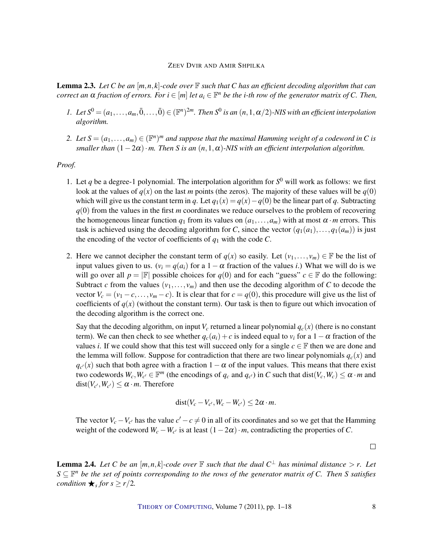<span id="page-7-0"></span>Lemma 2.3. *Let C be an* [*m*,*n*, *k*]*-code over* F *such that C has an efficient decoding algorithm that can correct an*  $\alpha$  *fraction of errors. For*  $i \in [m]$  *let*  $a_i \in \mathbb{F}^n$  *be the i-th row of the generator matrix of* C. Then,

- *1.* Let  $S^0 = (a_1, \ldots, a_m, \bar{0}, \ldots, \bar{0}) \in (\mathbb{F}^n)^{2m}$ . Then  $S^0$  is an  $(n, 1, \alpha/2)$ *-NIS with an efficient interpolation algorithm.*
- 2. Let  $S = (a_1, \ldots, a_m) \in (\mathbb{F}^n)^m$  and suppose that the maximal Hamming weight of a codeword in C is *smaller than*  $(1-2\alpha) \cdot m$ . Then S is an  $(n,1,\alpha)$ -NIS with an efficient interpolation algorithm.

#### *Proof.*

- 1. Let q be a degree-1 polynomial. The interpolation algorithm for  $S^0$  will work as follows: we first look at the values of  $q(x)$  on the last *m* points (the zeros). The majority of these values will be  $q(0)$ which will give us the constant term in *q*. Let  $q_1(x) = q(x) - q(0)$  be the linear part of *q*. Subtracting *q*(0) from the values in the first *m* coordinates we reduce ourselves to the problem of recovering the homogeneous linear function  $q_1$  from its values on  $(a_1, \ldots, a_m)$  with at most  $\alpha \cdot m$  errors. This task is achieved using the decoding algorithm for *C*, since the vector  $(q_1(a_1),...,q_1(a_m))$  is just the encoding of the vector of coefficients of *q*<sup>1</sup> with the code *C*.
- 2. Here we cannot decipher the constant term of  $q(x)$  so easily. Let  $(v_1,..., v_m) \in \mathbb{F}$  be the list of input values given to us.  $(v_i = q(a_i)$  for a  $1 - \alpha$  fraction of the values *i*.) What we will do is we will go over all  $p = |\mathbb{F}|$  possible choices for  $q(0)$  and for each "guess"  $c \in \mathbb{F}$  do the following: Subtract *c* from the values  $(v_1, \ldots, v_m)$  and then use the decoding algorithm of *C* to decode the vector  $V_c = (v_1 - c, \ldots, v_m - c)$ . It is clear that for  $c = q(0)$ , this procedure will give us the list of coefficients of  $q(x)$  (without the constant term). Our task is then to figure out which invocation of the decoding algorithm is the correct one.

Say that the decoding algorithm, on input  $V_c$  returned a linear polynomial  $q_c(x)$  (there is no constant term). We can then check to see whether  $q_c(a_i) + c$  is indeed equal to  $v_i$  for a  $1 - \alpha$  fraction of the values *i*. If we could show that this test will succeed only for a single  $c \in \mathbb{F}$  then we are done and the lemma will follow. Suppose for contradiction that there are two linear polynomials  $q_c(x)$  and  $q_{c'}(x)$  such that both agree with a fraction  $1-\alpha$  of the input values. This means that there exist two codewords  $W_c$ ,  $W_{c'} \in \mathbb{F}^m$  (the encodings of  $q_c$  and  $q_{c'}$ ) in *C* such that dist( $V_c$ ,  $W_c$ )  $\le \alpha \cdot m$  and  $dist(V_{c'}, W_{c'}) \leq \alpha \cdot m$ . Therefore

$$
dist(V_c-V_{c'},W_c-W_{c'})\leq 2\alpha\cdot m.
$$

The vector  $V_c - V_{c'}$  has the value  $c' - c \neq 0$  in all of its coordinates and so we get that the Hamming weight of the codeword  $W_c - W_{c'}$  is at least  $(1 - 2\alpha) \cdot m$ , contradicting the properties of *C*.

 $\Box$ 

<span id="page-7-1"></span>**Lemma 2.4.** Let C be an  $[m, n, k]$ -code over  $\mathbb F$  such that the dual  $C^{\perp}$  has minimal distance  $> r$ . Let *S* ⊆ F *<sup>n</sup> be the set of points corresponding to the rows of the generator matrix of C. Then S satisfies condition*  $\bigstar$ <sub>*s*</sub> *for*  $s \geq r/2$ *.*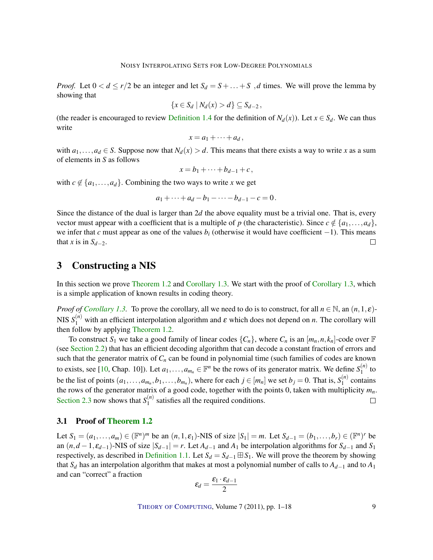<span id="page-8-1"></span>*Proof.* Let  $0 < d \le r/2$  be an integer and let  $S_d = S + ... + S$ , *d* times. We will prove the lemma by showing that

$$
\{x\in S_d\mid N_d(x)>d\}\subseteq S_{d-2},
$$

(the reader is encouraged to review [Definition](#page-4-2) [1.4](#page-4-2) for the definition of  $N_d(x)$ ). Let  $x \in S_d$ . We can thus write

$$
x = a_1 + \cdots + a_d,
$$

with  $a_1, \ldots, a_d \in S$ . Suppose now that  $N_d(x) > d$ . This means that there exists a way to write *x* as a sum of elements in *S* as follows

$$
x=b_1+\cdots+b_{d-1}+c\,
$$

with  $c \notin \{a_1, \ldots, a_d\}$ . Combining the two ways to write *x* we get

$$
a_1 + \cdots + a_d - b_1 - \cdots - b_{d-1} - c = 0.
$$

Since the distance of the dual is larger than 2*d* the above equality must be a trivial one. That is, every vector must appear with a coefficient that is a multiple of *p* (the characteristic). Since  $c \notin \{a_1, \ldots, a_d\}$ , we infer that *c* must appear as one of the values *b<sup>i</sup>* (otherwise it would have coefficient −1). This means that *x* is in  $S_{d-2}$ .  $\Box$ 

## <span id="page-8-0"></span>3 Constructing a NIS

In this section we prove [Theorem](#page-3-0) [1.2](#page-3-0) and [Corollary](#page-3-1) [1.3.](#page-3-1) We start with the proof of [Corollary](#page-3-1) [1.3,](#page-3-1) which is a simple application of known results in coding theory.

*Proof of [Corollary](#page-3-1) [1.3.](#page-3-1)* To prove the corollary, all we need to do is to construct, for all  $n \in \mathbb{N}$ , an  $(n,1,\varepsilon)$ -NIS  $S_1^{(n)}$  with an efficient interpolation algorithm and  $\varepsilon$  which does not depend on *n*. The corollary will then follow by applying [Theorem](#page-3-0) [1.2.](#page-3-0)

To construct  $S_1$  we take a good family of linear codes  $\{C_n\}$ , where  $C_n$  is an  $[m_n, n, k_n]$ -code over  $\mathbb F$ (see [Section](#page-6-0) [2.2\)](#page-6-0) that has an efficient decoding algorithm that can decode a constant fraction of errors and such that the generator matrix of  $C_n$  can be found in polynomial time (such families of codes are known to exists, see [\[10,](#page-16-2) Chap. 10]). Let  $a_1, \ldots, a_{m_n} \in \mathbb{F}^n$  be the rows of its generator matrix. We define  $S_1^{(n)}$  $\int_1^{(h)}$  to be the list of points  $(a_1, \ldots, a_{m_n}, b_1, \ldots, b_{m_n})$ , where for each  $j \in [m_n]$  we set  $b_j = 0$ . That is,  $S_1^{(n)}$  $\binom{n}{1}$  contains the rows of the generator matrix of a good code, together with the points 0, taken with multiplicity  $m_n$ . [Section](#page-7-0) [2.3](#page-7-0) now shows that  $S_1^{(n)}$  $_1^{(n)}$  satisfies all the required conditions.  $\Box$ 

## 3.1 Proof of [Theorem](#page-3-0) [1.2](#page-3-0)

Let  $S_1 = (a_1, ..., a_m) \in (\mathbb{F}^n)^m$  be an  $(n, 1, \varepsilon_1)$ -NIS of size  $|S_1| = m$ . Let  $S_{d-1} = (b_1, ..., b_r) \in (\mathbb{F}^n)^r$  be an  $(n, d-1, \varepsilon_{d-1})$ -NIS of size  $|S_{d-1}| = r$ . Let  $A_{d-1}$  and  $A_1$  be interpolation algorithms for  $S_{d-1}$  and  $S_1$ respectively, as described in [Definition](#page-2-0) [1.1.](#page-2-0) Let  $S_d = S_{d-1} \boxplus S_1$ . We will prove the theorem by showing that  $S_d$  has an interpolation algorithm that makes at most a polynomial number of calls to  $A_{d-1}$  and to  $A_1$ and can "correct" a fraction

$$
\varepsilon_d = \frac{\varepsilon_1 \cdot \varepsilon_{d-1}}{2}
$$

THEORY OF C[OMPUTING](http://dx.doi.org/10.4086/toc), Volume 7 (2011), pp. 1–18 9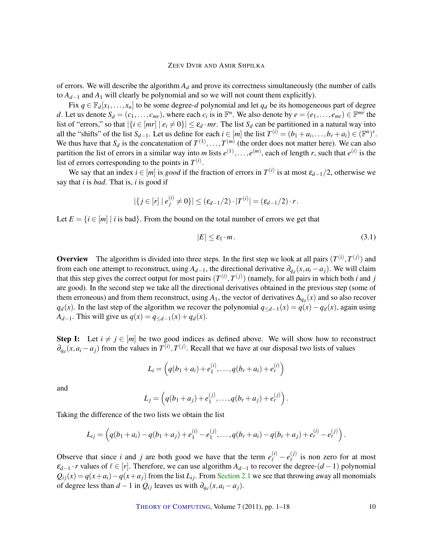of errors. We will describe the algorithm  $A_d$  and prove its correctness simultaneously (the number of calls to *Ad*−<sup>1</sup> and *A*<sup>1</sup> will clearly be polynomial and so we will not count them explicitly).

Fix  $q \in \mathbb{F}_d[x_1,\ldots,x_n]$  to be some degree-*d* polynomial and let  $q_d$  be its homogeneous part of degree *d*. Let us denote  $S_d = (c_1, \ldots, c_{mr})$ , where each  $c_i$  is in  $\mathbb{F}^n$ . We also denote by  $e = (e_1, \ldots, e_{mr}) \in \mathbb{F}^{mr}$  the list of "errors," so that  $|\{i \in [mr] \mid e_i \neq 0\}| \leq \varepsilon_d \cdot mr$ . The list  $S_d$  can be partitioned in a natural way into all the "shifts" of the list  $S_{d-1}$ . Let us define for each  $i \in [m]$  the list  $T^{(i)} = (b_1 + a_i, \ldots, b_r + a_i) \in (\mathbb{F}^n)^r$ . We thus have that  $S_d$  is the concatenation of  $T^{(1)}, \ldots, T^{(m)}$  (the order does not matter here). We can also partition the list of errors in a similar way into *m* lists  $e^{(1)}$ , ...,  $e^{(m)}$ , each of length *r*, such that  $e^{(i)}$  is the list of errors corresponding to the points in  $T^{(i)}$ .

We say that an index  $i \in [m]$  is *good* if the fraction of errors in  $T^{(i)}$  is at most  $\varepsilon_{d-1}/2$ , otherwise we say that *i* is *bad*. That is, *i* is good if

$$
|\{j\in[r]\mid e_j^{(i)}\neq 0\}|\leq (\varepsilon_{d-1}/2)\cdot |T^{(i)}|=(\varepsilon_{d-1}/2)\cdot r.
$$

Let  $E = \{i \in [m] \mid i \text{ is bad}\}\.$  From the bound on the total number of errors we get that

<span id="page-9-0"></span>
$$
|E| \le \varepsilon_1 \cdot m. \tag{3.1}
$$

**Overview** The algorithm is divided into three steps. In the first step we look at all pairs  $(T^{(i)}, T^{(j)})$  and from each one attempt to reconstruct, using  $A_{d-1}$ , the directional derivative  $\partial_{q_d}(x, a_i - a_j)$ . We will claim that this step gives the correct output for most pairs  $(T^{(i)}, T^{(j)})$  (namely, for all pairs in which both *i* and *j* are good). In the second step we take all the directional derivatives obtained in the previous step (some of them erroneous) and from them reconstruct, using  $A_1$ , the vector of derivatives  $\Delta_{q_d}(x)$  and so also recover *q*<sub>d</sub>(*x*). In the last step of the algorithm we recover the polynomial  $q$ <*d*−1(*x*) =  $q(x) − q_d(x)$ , again using *A*<sup>*d*−1</sub>. This will give us  $q(x) = q_{\le d-1}(x) + q_d(x)$ .</sup>

**Step I:** Let  $i \neq j \in [m]$  be two good indices as defined above. We will show how to reconstruct  $\partial_{q_d}(x, a_i - a_j)$  from the values in  $T^{(i)}$ ,  $T^{(j)}$ . Recall that we have at our disposal two lists of values

$$
L_i = \left( q(b_1 + a_i) + e_1^{(i)}, \dots, q(b_r + a_i) + e_r^{(i)} \right)
$$

and

$$
L_j = \left( q(b_1 + a_j) + e_1^{(j)}, \ldots, q(b_r + a_j) + e_r^{(j)} \right).
$$

Taking the difference of the two lists we obtain the list

$$
L_{ij} = \left( q(b_1 + a_i) - q(b_1 + a_j) + e_1^{(i)} - e_1^{(j)}, \ldots, q(b_r + a_i) - q(b_r + a_j) + e_r^{(i)} - e_r^{(j)} \right).
$$

Observe that since *i* and *j* are both good we have that the term  $e^{(i)}_{\ell} - e^{(j)}_{\ell}$  $\binom{U}{l}$  is non zero for at most  $\varepsilon_{d-1} \cdot r$  values of  $\ell \in [r]$ . Therefore, we can use algorithm  $A_{d-1}$  to recover the degree-( $d-1$ ) polynomial  $Q_{ij}(x) = q(x + a_i) - q(x + a_j)$  from the list *L*<sub>*i*j</sub>. From [Section](#page-5-1) [2.1](#page-5-1) we see that throwing away all monomials of degree less than  $d-1$  in  $Q_{ij}$  leaves us with  $\partial_{q_d}(x, a_i - a_j)$ .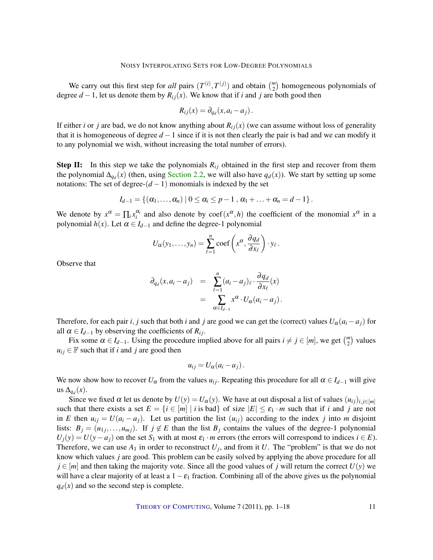We carry out this first step for *all* pairs  $(T^{(i)}, T^{(j)})$  and obtain  $\binom{m}{2}$  homogeneous polynomials of degree  $d-1$ , let us denote them by  $R_{ij}(x)$ . We know that if *i* and *j* are both good then

$$
R_{ij}(x) = \partial_{q_d}(x, a_i - a_j).
$$

If either *i* or *j* are bad, we do not know anything about  $R_i(x)$  (we can assume without loss of generality that it is homogeneous of degree  $d-1$  since if it is not then clearly the pair is bad and we can modify it to any polynomial we wish, without increasing the total number of errors).

**Step II:** In this step we take the polynomials  $R_{ij}$  obtained in the first step and recover from them the polynomial  $\Delta_{q_d}(x)$  (then, using [Section](#page-6-1) [2.2,](#page-6-1) we will also have  $q_d(x)$ ). We start by setting up some notations: The set of degree- $(d-1)$  monomials is indexed by the set

$$
I_{d-1} = \{ (\alpha_1, \ldots, \alpha_n) \mid 0 \leq \alpha_i \leq p-1 , \alpha_1 + \ldots + \alpha_n = d-1 \}.
$$

We denote by  $x^{\alpha} = \prod_i x_i^{\alpha_i}$  and also denote by coef( $x^{\alpha}, h$ ) the coefficient of the monomial  $x^{\alpha}$  in a polynomial  $h(x)$ . Let  $\alpha \in I_{d-1}$  and define the degree-1 polynomial

$$
U_{\alpha}(y_1,\ldots,y_n)=\sum_{\ell=1}^n\mathrm{coeff}\left(x^{\alpha},\frac{\partial q_d}{\partial x_{\ell}}\right)\cdot y_{\ell}.
$$

Observe that

$$
\partial_{q_d}(x, a_i - a_j) = \sum_{\ell=1}^n (a_i - a_j)_{\ell} \cdot \frac{\partial q_d}{\partial x_{\ell}}(x)
$$

$$
= \sum_{\alpha \in I_{d-1}} x^{\alpha} \cdot U_{\alpha}(a_i - a_j).
$$

Therefore, for each pair *i*, *j* such that both *i* and *j* are good we can get the (correct) values  $U_{\alpha}(a_i - a_j)$  for all  $\alpha \in I_{d-1}$  by observing the coefficients of  $R_{ij}$ .

Fix some  $\alpha \in I_{d-1}$ . Using the procedure implied above for all pairs  $i \neq j \in [m]$ , we get  $\binom{m}{2}$  values  $u_{ij} \in \mathbb{F}$  such that if *i* and *j* are good then

$$
u_{ij}=U_{\alpha}(a_i-a_j).
$$

We now show how to recover  $U_{\alpha}$  from the values  $u_{ij}$ . Repeating this procedure for all  $\alpha \in I_{d-1}$  will give us Δ $<sub>q<sub>d</sub></sub>(x)$ .</sub>

Since we fixed  $\alpha$  let us denote by  $U(y) = U_{\alpha}(y)$ . We have at out disposal a list of values  $(u_{ij})_{i,j \in [m]}$ such that there exists a set  $E = \{i \in [m] \mid i \text{ is bad}\}$  of size  $|E| \le \varepsilon_1 \cdot m$  such that if *i* and *j* are not in *E* then  $u_{ij} = U(a_i - a_j)$ . Let us partition the list  $(u_{ij})$  according to the index *j* into *m* disjoint lists:  $B_j = (u_{1j}, \ldots, u_{mj})$ . If  $j \notin E$  than the list  $B_j$  contains the values of the degree-1 polynomial  $U_i(y) = U(y - a_i)$  on the set *S*<sub>1</sub> with at most  $\varepsilon_1 \cdot m$  errors (the errors will correspond to indices  $i \in E$ ). Therefore, we can use  $A_1$  in order to reconstruct  $U_j$ , and from it  $U$ . The "problem" is that we do not know which values *j* are good. This problem can be easily solved by applying the above procedure for all  $j \in [m]$  and then taking the majority vote. Since all the good values of *j* will return the correct  $U(y)$  we will have a clear majority of at least a  $1-\epsilon_1$  fraction. Combining all of the above gives us the polynomial  $q_d(x)$  and so the second step is complete.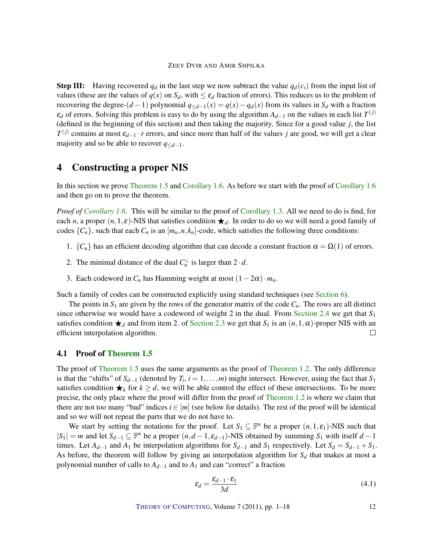**Step III:** Having recovered  $q_d$  in the last step we now subtract the value  $q_d(c_i)$  from the input list of values (these are the values of  $q(x)$  on  $S_d$ , with  $\leq \varepsilon_d$  fraction of errors). This reduces us to the problem of recovering the degree-(*d* − 1) polynomial  $q_{< d-1}(x) = q(x) - q_d(x)$  from its values in  $S_d$  with a fraction  $\varepsilon_d$  of errors. Solving this problem is easy to do by using the algorithm  $A_{d-1}$  on the values in each list  $T^{(j)}$ (defined in the beginning of this section) and then taking the majority. Since for a good value *j*, the list *T*<sup>(*j*)</sup> contains at most  $\varepsilon$ <sub>*d*−1</sub> · *r* errors, and since more than half of the values *j* are good, we will get a clear majority and so be able to recover *q*≤*d*−1.

## <span id="page-11-0"></span>4 Constructing a proper NIS

In this section we prove [Theorem](#page-4-0) [1.5](#page-4-0) and [Corollary](#page-4-1) [1.6.](#page-4-1) As before we start with the proof of Corollary [1.6](#page-4-1) and then go on to prove the theorem.

*Proof of [Corollary](#page-4-1) [1.6.](#page-4-1)* This will be similar to the proof of [Corollary](#page-3-1) [1.3.](#page-3-1) All we need to do is find, for each *n*, a proper  $(n,1,\varepsilon)$ -NIS that satisfies condition  $\star_d$ . In order to do so we will need a good family of codes  $\{C_n\}$ , such that each  $C_n$  is an  $[m_n, n, k_n]$ -code, which satisfies the following three conditions:

- 1.  ${C_n}$  has an efficient decoding algorithm that can decode a constant fraction  $\alpha = \Omega(1)$  of errors.
- 2. The minimal distance of the dual  $C_n^{\perp}$  is larger than  $2 \cdot d$ .
- 3. Each codeword in  $C_n$  has Hamming weight at most  $(1-2\alpha) \cdot m_n$ .

Such a family of codes can be constructed explicitly using standard techniques (see [Section](#page-14-0) [6\)](#page-14-0).

The points in  $S_1$  are given by the rows of the generator matrix of the code  $C_n$ . The rows are all distinct since otherwise we would have a codeword of weight 2 in the dual. From [Section](#page-7-1) [2.4](#page-7-1) we get that *S*<sup>1</sup> satisfies condition  $\star_d$  and from item 2. of [Section](#page-7-0) [2.3](#page-7-0) we get that  $S_1$  is an  $(n,1,\alpha)$ -proper NIS with an efficient interpolation algorithm.  $\Box$ 

## 4.1 Proof of [Theorem](#page-4-0) [1.5](#page-4-0)

The proof of [Theorem](#page-4-0) [1.5](#page-4-0) uses the same arguments as the proof of [Theorem](#page-3-0) [1.2.](#page-3-0) The only difference is that the "shifts" of  $S_{d-1}$  (denoted by  $T_i$ ,  $i = 1, \ldots, m$ ) might intersect. However, using the fact that  $S_1$ satisfies condition  $\bigstar_k$  for  $k \geq d$ , we will be able control the effect of these intersections. To be more precise, the only place where the proof will differ from the proof of [Theorem](#page-3-0) [1.2](#page-3-0) is where we claim that there are not too many "bad" indices  $i \in [m]$  (see below for details). The rest of the proof will be identical and so we will not repeat the parts that we do not have to.

We start by setting the notations for the proof. Let  $S_1 \subseteq \mathbb{F}^n$  be a proper  $(n,1,\varepsilon_1)$ -NIS such that  $|S_1| = m$  and let  $S_{d-1} \subseteq \mathbb{F}^n$  be a proper  $(n, d-1, \varepsilon_{d-1})$ -NIS obtained by summing  $S_1$  with itself  $d-1$ times. Let  $A_{d-1}$  and  $A_1$  be interpolation algorithms for  $S_{d-1}$  and  $S_1$  respectively. Let  $S_d = S_{d-1} + S_1$ . As before, the theorem will follow by giving an interpolation algorithm for  $S_d$  that makes at most a polynomial number of calls to  $A_{d-1}$  and to  $A_1$  and can "correct" a fraction

$$
\varepsilon_d = \frac{\varepsilon_{d-1} \cdot \varepsilon_1}{3d} \tag{4.1}
$$

THEORY OF C[OMPUTING](http://dx.doi.org/10.4086/toc), Volume 7 (2011), pp. 1–18 12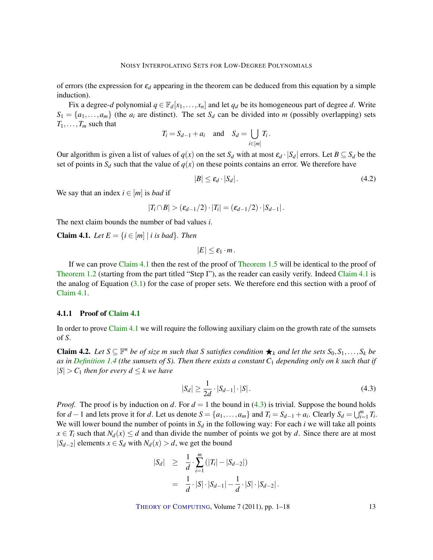of errors (the expression for  $\varepsilon_d$  appearing in the theorem can be deduced from this equation by a simple induction).

Fix a degree-*d* polynomial  $q \in \mathbb{F}_d[x_1,\ldots,x_n]$  and let  $q_d$  be its homogeneous part of degree *d*. Write  $S_1 = \{a_1, \ldots, a_m\}$  (the  $a_i$  are distinct). The set  $S_d$  can be divided into *m* (possibly overlapping) sets  $T_1, \ldots, T_m$  such that

$$
T_i = S_{d-1} + a_i \quad \text{and} \quad S_d = \bigcup_{i \in [m]} T_i.
$$

Our algorithm is given a list of values of  $q(x)$  on the set  $S_d$  with at most  $\varepsilon_d \cdot |S_d|$  errors. Let  $B \subseteq S_d$  be the set of points in  $S_d$  such that the value of  $q(x)$  on these points contains an error. We therefore have

<span id="page-12-3"></span>
$$
|B| \le \varepsilon_d \cdot |S_d| \,. \tag{4.2}
$$

We say that an index  $i \in [m]$  is *bad* if

$$
|T_i \cap B| > (\varepsilon_{d-1}/2) \cdot |T_i| = (\varepsilon_{d-1}/2) \cdot |S_{d-1}|.
$$

The next claim bounds the number of bad values *i*.

<span id="page-12-0"></span>**Claim 4.1.** Let  $E = \{i \in [m] \mid i \text{ is bad}\}$ . Then

 $|E| < \varepsilon_1 \cdot m$ .

If we can prove [Claim](#page-12-0) [4.1](#page-12-0) then the rest of the proof of [Theorem](#page-4-0) [1.5](#page-4-0) will be identical to the proof of [Theorem](#page-3-0) [1.2](#page-3-0) (starting from the part titled "Step I"), as the reader can easily verify. Indeed [Claim](#page-12-0) [4.1](#page-12-0) is the analog of Equation  $(3.1)$  for the case of proper sets. We therefore end this section with a proof of [Claim](#page-12-0) [4.1.](#page-12-0)

#### 4.1.1 Proof of [Claim](#page-12-0) [4.1](#page-12-0)

In order to prove [Claim](#page-12-0) [4.1](#page-12-0) we will require the following auxiliary claim on the growth rate of the sumsets of *S*.

<span id="page-12-2"></span>**Claim 4.2.** Let  $S \subseteq \mathbb{F}^n$  be of size *m* such that *S* satisfies condition ★<sub>*k*</sub> and let the sets  $S_0, S_1, \ldots, S_k$  be *as in [Definition](#page-4-2) [1.4](#page-4-2) (the sumsets of S). Then there exists a constant C*<sup>1</sup> *depending only on k such that if*  $|S| > C_1$  *then for every*  $d \leq k$  *we have* 

<span id="page-12-1"></span>
$$
|S_d| \ge \frac{1}{2d} \cdot |S_{d-1}| \cdot |S| \,. \tag{4.3}
$$

*Proof.* The proof is by induction on *d*. For  $d = 1$  the bound in [\(4.3\)](#page-12-1) is trivial. Suppose the bound holds for  $d-1$  and lets prove it for d. Let us denote  $S = \{a_1, \ldots, a_m\}$  and  $T_i = S_{d-1} + a_i$ . Clearly  $S_d = \bigcup_{i=1}^m T_i$ . We will lower bound the number of points in  $S_d$  in the following way: For each *i* we will take all points  $x \in T_i$  such that  $N_d(x) \leq d$  and than divide the number of points we got by *d*. Since there are at most  $|S_{d-2}|$  elements *x* ∈ *S*<sup>*d*</sup> with *N*<sup>*d*</sup>(*x*) > *d*, we get the bound

$$
|S_d| \geq \frac{1}{d} \cdot \sum_{i=1}^m (|T_i| - |S_{d-2}|)
$$
  
= 
$$
\frac{1}{d} \cdot |S| \cdot |S_{d-1}| - \frac{1}{d} \cdot |S| \cdot |S_{d-2}|.
$$

THEORY OF C[OMPUTING](http://dx.doi.org/10.4086/toc), Volume 7 (2011), pp. 1–18 13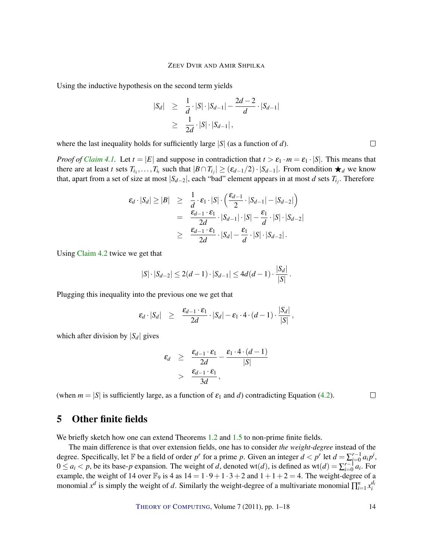Using the inductive hypothesis on the second term yields

$$
|S_d| \geq \frac{1}{d} \cdot |S| \cdot |S_{d-1}| - \frac{2d-2}{d} \cdot |S_{d-1}|
$$
  
 
$$
\geq \frac{1}{2d} \cdot |S| \cdot |S_{d-1}|,
$$

where the last inequality holds for sufficiently large |*S*| (as a function of *d*).

*Proof of [Claim](#page-12-0) [4.1.](#page-12-0)* Let  $t = |E|$  and suppose in contradiction that  $t > \varepsilon_1 \cdot m = \varepsilon_1 \cdot |S|$ . This means that there are at least *t* sets  $T_{i_1}, \ldots, T_{i_t}$  such that  $|B \cap T_{i_j}| \geq (\varepsilon_{d-1}/2) \cdot |S_{d-1}|$ . From condition  $\star_d$  we know that, apart from a set of size at most |*Sd*−2|, each "bad" element appears in at most *d* sets *Ti<sup>j</sup>* . Therefore

$$
\varepsilon_d \cdot |S_d| \ge |B| \ge \frac{1}{d} \cdot \varepsilon_1 \cdot |S| \cdot \left(\frac{\varepsilon_{d-1}}{2} \cdot |S_{d-1}| - |S_{d-2}|\right)
$$
  
= 
$$
\frac{\varepsilon_{d-1} \cdot \varepsilon_1}{2d} \cdot |S_{d-1}| \cdot |S| - \frac{\varepsilon_1}{d} \cdot |S| \cdot |S_{d-2}|
$$
  

$$
\ge \frac{\varepsilon_{d-1} \cdot \varepsilon_1}{2d} \cdot |S_d| - \frac{\varepsilon_1}{d} \cdot |S| \cdot |S_{d-2}|.
$$

Using [Claim](#page-12-2) [4.2](#page-12-2) twice we get that

$$
|S| \cdot |S_{d-2}| \le 2(d-1) \cdot |S_{d-1}| \le 4d(d-1) \cdot \frac{|S_d|}{|S|}.
$$

Plugging this inequality into the previous one we get that

$$
\varepsilon_d \cdot |S_d| \geq \frac{\varepsilon_{d-1} \cdot \varepsilon_1}{2d} \cdot |S_d| - \varepsilon_1 \cdot 4 \cdot (d-1) \cdot \frac{|S_d|}{|S|},
$$

which after division by  $|S_d|$  gives

$$
\varepsilon_d \geq \frac{\varepsilon_{d-1} \cdot \varepsilon_1}{2d} - \frac{\varepsilon_1 \cdot 4 \cdot (d-1)}{|S|} > \frac{\varepsilon_{d-1} \cdot \varepsilon_1}{3d},
$$

(when  $m = |S|$  is sufficiently large, as a function of  $\varepsilon_1$  and *d*) contradicting Equation [\(4.2\)](#page-12-3).

 $\Box$ 

# <span id="page-13-0"></span>5 Other finite fields

We briefly sketch how one can extend Theorems [1.2](#page-3-0) and [1.5](#page-4-0) to non-prime finite fields.

The main difference is that over extension fields, one has to consider *the weight-degree* instead of the degree. Specifically, let F be a field of order  $p^r$  for a prime p. Given an integer  $d < p^r$  let  $d = \sum_{i=0}^{r-1} a_i p^i$ ,  $0 \le a_i < p$ , be its base-*p* expansion. The weight of *d*, denoted wt(*d*), is defined as wt(*d*) =  $\sum_{i=0}^{r-1} a_i$ . For example, the weight of 14 over  $\mathbb{F}_9$  is 4 as  $14 = 1 \cdot 9 + 1 \cdot 3 + 2$  and  $1 + 1 + 2 = 4$ . The weight-degree of a monomial  $x^d$  is simply the weight of *d*. Similarly the weight-degree of a multivariate monomial  $\prod_{i=1}^n x_i^{d_i}$ 

 $\Box$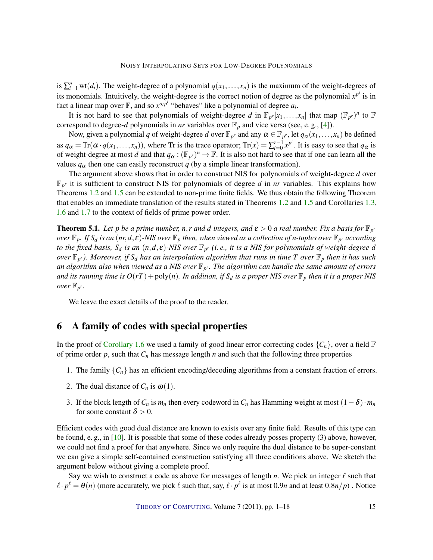<span id="page-14-1"></span>is  $\sum_{i=1}^{n}$  wt(*d<sub>i</sub>*). The weight-degree of a polynomial  $q(x_1,...,x_n)$  is the maximum of the weight-degrees of its monomials. Intuitively, the weight-degree is the correct notion of degree as the polynomial  $x^{p^i}$  is in fact a linear map over  $\mathbb{F}$ , and so  $x^{a_i p^i}$  "behaves" like a polynomial of degree  $a_i$ .

It is not hard to see that polynomials of weight-degree *d* in  $\mathbb{F}_{p^r}[x_1,\ldots,x_n]$  that map  $(\mathbb{F}_{p^r})^n$  to  $\mathbb{F}_{p^r}$ correspond to degree-*d* polynomials in *nr* variables over  $\mathbb{F}_p$  and vice versa (see, e.g., [\[4\]](#page-15-3)).

Now, given a polynomial *q* of weight-degree *d* over  $\mathbb{F}_{p^r}$  and any  $\alpha \in \mathbb{F}_{p^r}$ , let  $q_\alpha(x_1, \dots, x_n)$  be defined as  $q_{\alpha} = \text{Tr}(\alpha \cdot q(x_1, \ldots, x_n))$ , where Tr is the trace operator;  $\text{Tr}(x) = \sum_{i=0}^{r-1} x^{p^i}$ . It is easy to see that  $q_{\alpha}$  is of weight-degree at most *d* and that  $q_\alpha : (\mathbb{F}_{p^r})^n \to \mathbb{F}$ . It is also not hard to see that if one can learn all the values  $q_\alpha$  then one can easily reconstruct *q* (by a simple linear transformation).

The argument above shows that in order to construct NIS for polynomials of weight-degree *d* over  $\mathbb{F}_{p^r}$  it is sufficient to construct NIS for polynomials of degree *d* in *nr* variables. This explains how Theorems [1.2](#page-3-0) and [1.5](#page-4-0) can be extended to non-prime finite fields. We thus obtain the following Theorem that enables an immediate translation of the results stated in Theorems [1.2](#page-3-0) and [1.5](#page-4-0) and Corollaries [1.3,](#page-3-1) [1.6](#page-4-1) and [1.7](#page-4-3) to the context of fields of prime power order.

**Theorem 5.1.** Let p be a prime number,  $n, r$  and d integers, and  $\varepsilon > 0$  a real number. Fix a basis for  $\mathbb{F}_{p'}$  $\partial$  *over*  $\mathbb{F}_p$ . If  $S_d$  is an  $(nr,d,\varepsilon)$  -NIS over  $\mathbb{F}_p$  then, when viewed as a collection of n-tuples over  $\mathbb{F}_{p^r}$  according *to the fixed basis, S<sup>d</sup> is an* (*n*,*d*, ε)*-NIS over* F*<sup>p</sup> <sup>r</sup> (i. e., it is a NIS for polynomials of weight-degree d over* F*<sup>p</sup> <sup>r</sup>). Moreover, if S<sup>d</sup> has an interpolation algorithm that runs in time T over* F*<sup>p</sup> then it has such an algorithm also when viewed as a NIS over* F*<sup>p</sup> <sup>r</sup>. The algorithm can handle the same amount of errors and its running time is*  $O(rT) + \text{poly}(n)$ *. In addition, if*  $S_d$  *is a proper NIS over*  $\mathbb{F}_p$  *then it is a proper NIS over*  $\mathbb{F}_{p^r}$ *.* 

We leave the exact details of the proof to the reader.

# <span id="page-14-0"></span>6 A family of codes with special properties

In the proof of [Corollary](#page-4-1) [1.6](#page-4-1) we used a family of good linear error-correcting codes  $\{C_n\}$ , over a field  $\mathbb F$ of prime order  $p$ , such that  $C_n$  has message length  $n$  and such that the following three properties

- 1. The family  $\{C_n\}$  has an efficient encoding/decoding algorithms from a constant fraction of errors.
- 2. The dual distance of  $C_n$  is  $\omega(1)$ .
- 3. If the block length of  $C_n$  is  $m_n$  then every codeword in  $C_n$  has Hamming weight at most  $(1 \delta) \cdot m_n$ for some constant  $\delta > 0$ .

Efficient codes with good dual distance are known to exists over any finite field. Results of this type can be found, e. g., in [\[10\]](#page-16-2). It is possible that some of these codes already posses property (3) above, however, we could not find a proof for that anywhere. Since we only require the dual distance to be super-constant we can give a simple self-contained construction satisfying all three conditions above. We sketch the argument below without giving a complete proof.

Say we wish to construct a code as above for messages of length *n*. We pick an integer  $\ell$  such that  $\ell \cdot p^{\ell} = \theta(n)$  (more accurately, we pick  $\ell$  such that, say,  $\ell \cdot p^{\ell}$  is at most 0.9*n* and at least 0.8*n*/*p*). Notice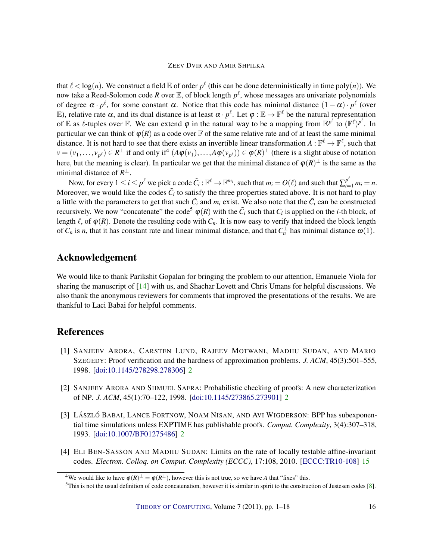<span id="page-15-4"></span>that  $\ell < \log(n)$ . We construct a field  $\mathbb E$  of order  $p^{\ell}$  (this can be done deterministically in time  $\text{poly}(n)$ ). We now take a Reed-Solomon code *R* over  $\mathbb E$ , of block length  $p^{\ell}$ , whose messages are univariate polynomials of degree  $\alpha \cdot p^{\ell}$ , for some constant  $\alpha$ . Notice that this code has minimal distance  $(1-\alpha) \cdot p^{\ell}$  (over E), relative rate  $\alpha$ , and its dual distance is at least  $\alpha \cdot p^{\ell}$ . Let  $\varphi : \mathbb{E} \to \mathbb{F}^{\ell}$  be the natural representation of  $\mathbb E$  as  $\ell$ -tuples over  $\mathbb F$ . We can extend  $\varphi$  in the natural way to be a mapping from  $\mathbb E^{p^{\ell}}$  to  $(\mathbb F^{\ell})^{p^{\ell}}$ . In particular we can think of  $\varphi(R)$  as a code over  $\mathbb F$  of the same relative rate and of at least the same minimal distance. It is not hard to see that there exists an invertible linear transformation  $A:\mathbb{F}^\ell\to\mathbb{F}^\ell$ , such that  $v = (v_1, \ldots, v_{p^{\ell}}) \in R^{\perp}$  if and only if<sup>4</sup>  $(A\varphi(v_1), \ldots, A\varphi(v_{p^{\ell}})) \in \varphi(R)^{\perp}$  (there is a slight abuse of notation here, but the meaning is clear). In particular we get that the minimal distance of  $\varphi(R)^{\perp}$  is the same as the minimal distance of  $R^{\perp}$ .

Now, for every  $1 \le i \le p^{\ell}$  we pick a code  $\tilde{C}_i : \mathbb{F}^{\ell} \to \mathbb{F}^{m_i}$ , such that  $m_i = O(\ell)$  and such that  $\sum_{i=1}^{p^{\ell}} m_i = n$ . Moreover, we would like the codes  $\tilde{C}_i$  to satisfy the three properties stated above. It is not hard to play a little with the parameters to get that such  $\tilde{C}_i$  and  $m_i$  exist. We also note that the  $\tilde{C}_i$  can be constructed recursively. We now "concatenate" the code<sup>5</sup>  $\varphi(R)$  with the  $\tilde{C}_i$  such that  $C_i$  is applied on the *i*-th block, of length  $\ell$ , of  $\varphi(R)$ . Denote the resulting code with  $C_n$ . It is now easy to verify that indeed the block length of  $C_n$  is *n*, that it has constant rate and linear minimal distance, and that  $C_n^{\perp}$  has minimal distance  $\omega(1)$ .

# Acknowledgement

We would like to thank Parikshit Gopalan for bringing the problem to our attention, Emanuele Viola for sharing the manuscript of [\[14\]](#page-16-8) with us, and Shachar Lovett and Chris Umans for helpful discussions. We also thank the anonymous reviewers for comments that improved the presentations of the results. We are thankful to Laci Babai for helpful comments.

# References

- <span id="page-15-1"></span>[1] SANJEEV ARORA, CARSTEN LUND, RAJEEV MOTWANI, MADHU SUDAN, AND MARIO SZEGEDY: Proof verification and the hardness of approximation problems. *J. ACM*, 45(3):501–555, 1998. [\[doi:10.1145/278298.278306\]](http://dx.doi.org/10.1145/278298.278306) [2](#page-1-0)
- <span id="page-15-0"></span>[2] SANJEEV ARORA AND SHMUEL SAFRA: Probabilistic checking of proofs: A new characterization of NP. *J. ACM*, 45(1):70–122, 1998. [\[doi:10.1145/273865.273901\]](http://dx.doi.org/10.1145/273865.273901) [2](#page-1-0)
- <span id="page-15-2"></span>[3] LÁSZLÓ BABAI, LANCE FORTNOW, NOAM NISAN, AND AVI WIGDERSON: BPP has subexponential time simulations unless EXPTIME has publishable proofs. *Comput. Complexity*, 3(4):307–318, 1993. [\[doi:10.1007/BF01275486\]](http://dx.doi.org/10.1007/BF01275486) [2](#page-1-0)
- <span id="page-15-3"></span>[4] ELI BEN-SASSON AND MADHU SUDAN: Limits on the rate of locally testable affine-invariant codes. *Electron. Colloq. on Comput. Complexity (ECCC)*, 17:108, 2010. [\[ECCC:TR10-108\]](http://www.eccc.uni-trier.de/eccc-reports/2010/TR10-108) [15](#page-14-1)

<sup>&</sup>lt;sup>4</sup>We would like to have  $\varphi(R)^{\perp} = \varphi(R^{\perp})$ , however this is not true, so we have *A* that "fixes" this.

 $5$ This is not the usual definition of code concatenation, however it is similar in spirit to the construction of Justesen codes [\[8\]](#page-16-11).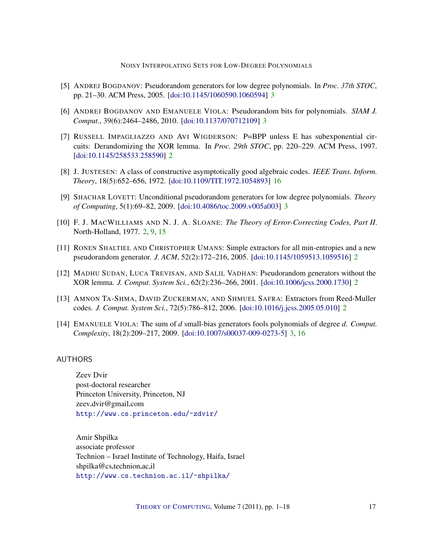NOISY INTERPOLATING SETS FOR LOW-DEGREE POLYNOMIALS

- <span id="page-16-7"></span>[5] ANDREJ BOGDANOV: Pseudorandom generators for low degree polynomials. In *Proc. 37th STOC*, pp. 21–30. ACM Press, 2005. [\[doi:10.1145/1060590.1060594\]](http://dx.doi.org/10.1145/1060590.1060594) [3](#page-2-1)
- <span id="page-16-9"></span>[6] ANDREJ BOGDANOV AND EMANUELE VIOLA: Pseudorandom bits for polynomials. *SIAM J. Comput.*, 39(6):2464–2486, 2010. [\[doi:10.1137/070712109\]](http://dx.doi.org/10.1137/070712109) [3](#page-2-1)
- <span id="page-16-3"></span>[7] RUSSELL IMPAGLIAZZO AND AVI WIGDERSON: P=BPP unless E has subexponential circuits: Derandomizing the XOR lemma. In *Proc. 29th STOC*, pp. 220–229. ACM Press, 1997. [\[doi:10.1145/258533.258590\]](http://dx.doi.org/10.1145/258533.258590) [2](#page-1-0)
- <span id="page-16-11"></span>[8] J. JUSTESEN: A class of constructive asymptotically good algebraic codes. *IEEE Trans. Inform. Theory*, 18(5):652–656, 1972. [\[doi:10.1109/TIT.1972.1054893\]](http://dx.doi.org/10.1109/TIT.1972.1054893) [16](#page-15-4)
- <span id="page-16-10"></span>[9] SHACHAR LOVETT: Unconditional pseudorandom generators for low degree polynomials. *Theory of Computing*, 5(1):69–82, 2009. [\[doi:10.4086/toc.2009.v005a003\]](http://dx.doi.org/10.4086/toc.2009.v005a003) [3](#page-2-1)
- <span id="page-16-2"></span>[10] F. J. MACWILLIAMS AND N. J. A. SLOANE: *The Theory of Error-Correcting Codes, Part II*. North-Holland, 1977. [2,](#page-1-0) [9,](#page-8-1) [15](#page-14-1)
- <span id="page-16-6"></span>[11] RONEN SHALTIEL AND CHRISTOPHER UMANS: Simple extractors for all min-entropies and a new pseudorandom generator. *J. ACM*, 52(2):172–216, 2005. [\[doi:10.1145/1059513.1059516\]](http://dx.doi.org/10.1145/1059513.1059516) [2](#page-1-0)
- <span id="page-16-4"></span>[12] MADHU SUDAN, LUCA TREVISAN, AND SALIL VADHAN: Pseudorandom generators without the XOR lemma. *J. Comput. System Sci.*, 62(2):236–266, 2001. [\[doi:10.1006/jcss.2000.1730\]](http://dx.doi.org/10.1006/jcss.2000.1730) [2](#page-1-0)
- <span id="page-16-5"></span>[13] AMNON TA-SHMA, DAVID ZUCKERMAN, AND SHMUEL SAFRA: Extractors from Reed-Muller codes. *J. Comput. System Sci.*, 72(5):786–812, 2006. [\[doi:10.1016/j.jcss.2005.05.010\]](http://dx.doi.org/10.1016/j.jcss.2005.05.010) [2](#page-1-0)
- <span id="page-16-8"></span>[14] EMANUELE VIOLA: The sum of *d* small-bias generators fools polynomials of degree *d*. *Comput. Complexity*, 18(2):209–217, 2009. [\[doi:10.1007/s00037-009-0273-5\]](http://dx.doi.org/10.1007/s00037-009-0273-5) [3,](#page-2-1) [16](#page-15-4)

## <span id="page-16-0"></span>AUTHORS

Zeev Dvir post-doctoral researcher Princeton University, Princeton, NJ zeev.dvir@gmail.com <http://www.cs.princeton.edu/~zdvir/>

<span id="page-16-1"></span>Amir Shpilka associate professor Technion – Israel Institute of Technology, Haifa, Israel shpilka@cs.technion.ac.il <http://www.cs.technion.ac.il/~shpilka/>